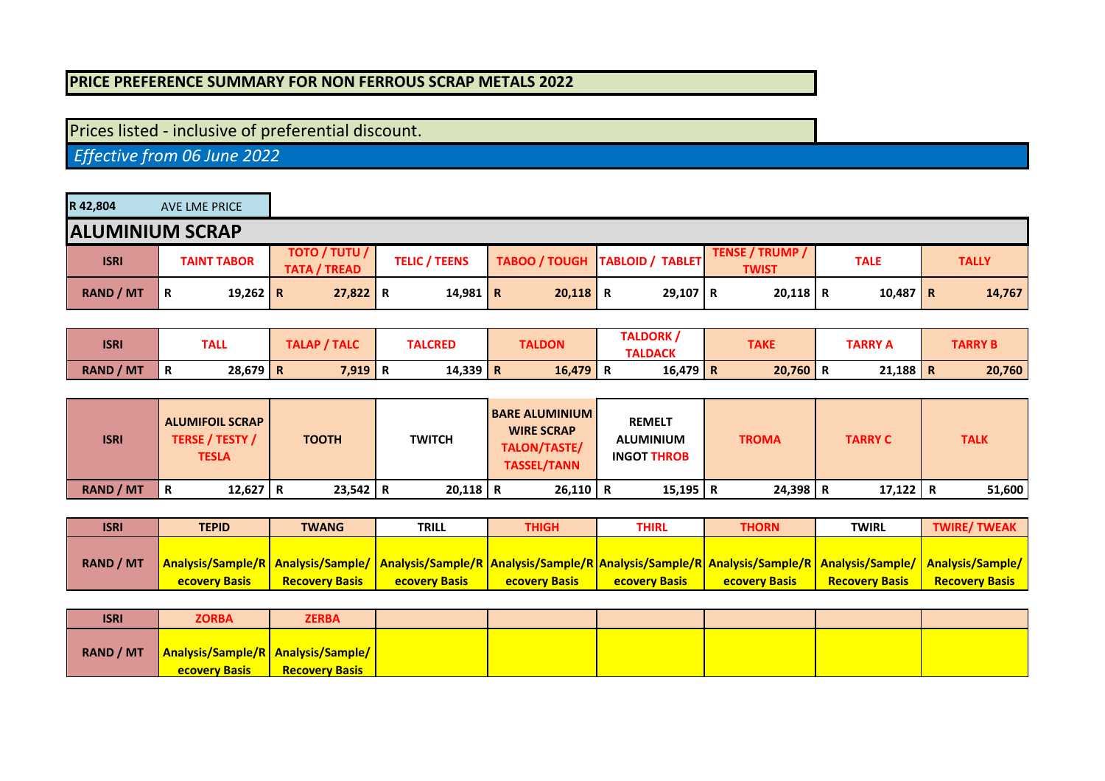## **PRICE PREFERENCE SUMMARY FOR NON FERROUS SCRAP METALS 2022**

## Prices listed - inclusive of preferential discount.

 *Effective from 06 June 2022*

| R 42,804         | AVE LME PRICE          |                                             |                      |            |                                  |                                        |             |              |  |  |
|------------------|------------------------|---------------------------------------------|----------------------|------------|----------------------------------|----------------------------------------|-------------|--------------|--|--|
|                  | <b>ALUMINIUM SCRAP</b> |                                             |                      |            |                                  |                                        |             |              |  |  |
| <b>ISRI</b>      | <b>TAINT TABOR</b>     | <b>TOTO / TUTU /</b><br><b>TATA / TREAD</b> | <b>TELIC / TEENS</b> |            | TABOO / TOUGH   TABLOID / TABLET | <b>TENSE / TRUMP /</b><br><b>TWIST</b> | <b>TALE</b> | <b>TALLY</b> |  |  |
| <b>RAND / MT</b> | 19,262 R<br>΄R         | $27,822$ R                                  | 14,981   R           | $20,118$ R | $29,107$ R                       | $20,118$ R                             | $10,487$ R  | 14,767       |  |  |

| <b>ISRI</b>      | TALL            | TALAP / TALC | <b>TALCRED</b> | <b>TALDON</b> | TALDORK,        | <b>TAKE</b> | TARRY A | <b>TARRY B</b> |
|------------------|-----------------|--------------|----------------|---------------|-----------------|-------------|---------|----------------|
|                  |                 |              |                |               | <b>TALDACK</b>  |             |         |                |
| <b>RAND / MT</b> | $28,679$ R<br>R | $7,919$ R    | 14,339 R       | 16,479        | $16,479$ R<br>R | 20,760      | 21,188  | 20,760<br>n    |

| <b>ISRI</b>      | <b>ALUMIFOIL SCRAP</b><br><b>TERSE / TESTY /</b><br><b>TESLA</b> | <b>TOOTH</b> | <b>TWITCH</b> | <b>BARE ALUMINIUM</b><br><b>WIRE SCRAP</b><br>TALON/TASTE/<br><b>TASSEL/TANN</b> | <b>REMELT</b><br><b>ALUMINIUM</b><br><b>INGOT THROB</b> | <b>TROMA</b> | <b>TARRY C</b> | <b>TALK</b> |
|------------------|------------------------------------------------------------------|--------------|---------------|----------------------------------------------------------------------------------|---------------------------------------------------------|--------------|----------------|-------------|
| <b>RAND / MT</b> | 12,627   R<br>R                                                  | $23,542$ R   | $20,118$ R    | $26,110$ R                                                                       | $15,195$ R                                              | 24,398 R     | 17,122 R       | 51,600      |

| <b>ISRI</b>      | <b>TEPID</b>         | <b>TWANG</b>          | <b>TRILL</b>                                                                                                                                                                  | <b>THIGH</b>          | THIRL                | THORN                | <b>TWIRL</b>          | <b>TWIRE/TWEAK</b>    |
|------------------|----------------------|-----------------------|-------------------------------------------------------------------------------------------------------------------------------------------------------------------------------|-----------------------|----------------------|----------------------|-----------------------|-----------------------|
|                  |                      |                       |                                                                                                                                                                               |                       |                      |                      |                       |                       |
| <b>RAND / MT</b> |                      |                       | Analysis/Sample/R   Analysis/Sample/   Analysis/Sample/R   Analysis/Sample/R   Analysis/Sample/R   Analysis/Sample/R   Analysis/Sample/   Analysis/Sample/   Analysis/Sample/ |                       |                      |                      |                       |                       |
|                  | <b>ecovery Basis</b> | <b>Recovery Basis</b> | <b>ecovery Basis</b>                                                                                                                                                          | <b>Recovery Basis</b> | <b>ecovery Basis</b> | <b>ecovery Basis</b> | <b>Recovery Basis</b> | <b>Recovery Basis</b> |

| <b>ISRI</b> | <b>ZORBA</b>                                                          | <b>ZERBA</b>          |  |  |  |
|-------------|-----------------------------------------------------------------------|-----------------------|--|--|--|
| RAND / MT   | <b>Analysis/Sample/R   Analysis/Sample/  </b><br><b>ecovery Basis</b> | <b>Recovery Basis</b> |  |  |  |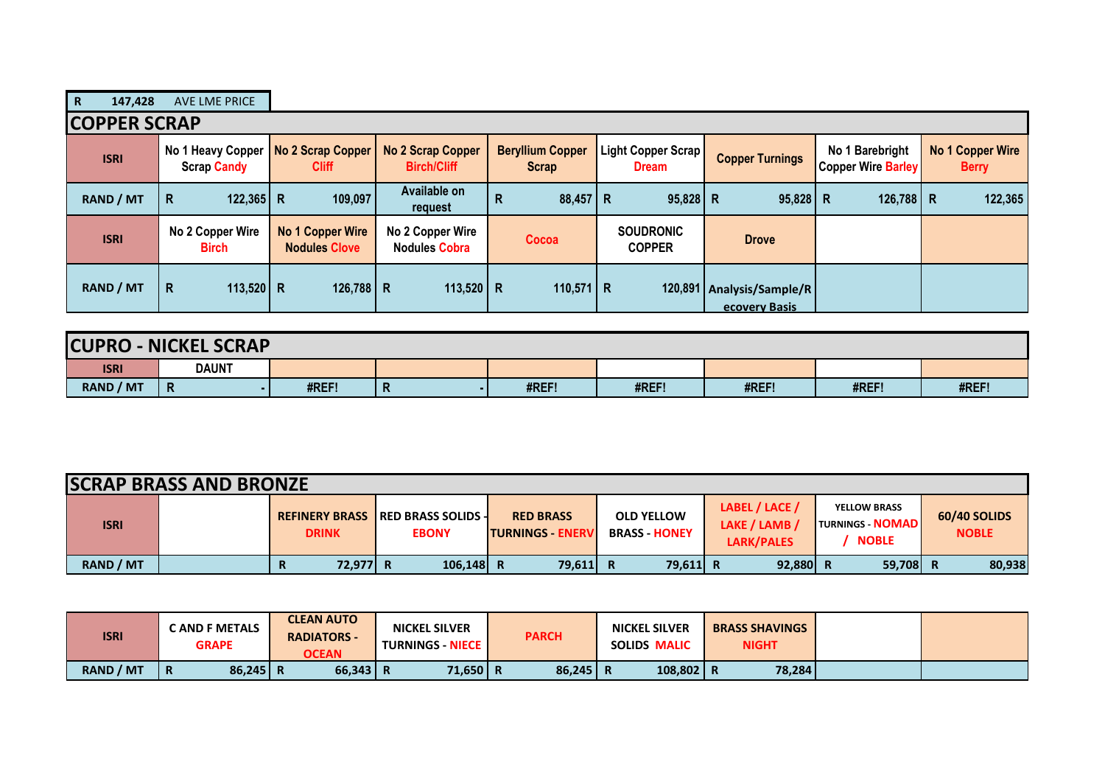| $\mathbf R$<br>147,428 | <b>AVE LME PRICE</b>                    |                                          |                                                |                                         |                                    |                                              |                                              |                                  |
|------------------------|-----------------------------------------|------------------------------------------|------------------------------------------------|-----------------------------------------|------------------------------------|----------------------------------------------|----------------------------------------------|----------------------------------|
| <b>COPPER SCRAP</b>    |                                         |                                          |                                                |                                         |                                    |                                              |                                              |                                  |
| <b>ISRI</b>            | No 1 Heavy Copper<br><b>Scrap Candy</b> | No 2 Scrap Copper<br><b>Cliff</b>        | <b>No 2 Scrap Copper</b><br><b>Birch/Cliff</b> | <b>Beryllium Copper</b><br><b>Scrap</b> | Light Copper Scrap<br><b>Dream</b> | <b>Copper Turnings</b>                       | No 1 Barebright<br><b>Copper Wire Barley</b> | No 1 Copper Wire<br><b>Berry</b> |
| <b>RAND / MT</b>       | $122,365$ R<br>R                        | 109,097                                  | Available on<br>request                        | $88,457$ R<br>R                         | $95,828$ R                         | $95,828$ R                                   | 126,788 R                                    | 122,365                          |
| <b>ISRI</b>            | No 2 Copper Wire<br><b>Birch</b>        | No 1 Copper Wire<br><b>Nodules Clove</b> | No 2 Copper Wire<br><b>Nodules Cobra</b>       | Cocoa                                   | <b>SOUDRONIC</b><br><b>COPPER</b>  | <b>Drove</b>                                 |                                              |                                  |
| <b>RAND / MT</b>       | R<br>113,520 R                          | 126,788   R                              | 113,520   R                                    | 110,571   R                             |                                    | 120,891   Analysis/Sample/R<br>ecovery Basis |                                              |                                  |

| <b>CUPRO</b>     | <b>J-NICKEL SCRAP</b> |       |   |       |       |       |       |       |  |  |  |
|------------------|-----------------------|-------|---|-------|-------|-------|-------|-------|--|--|--|
| <b>ISRI</b>      | <b>DAUNT</b>          |       |   |       |       |       |       |       |  |  |  |
| <b>RAND / MT</b> | R                     | #REF! | n | #REF! | #REF! | #REF! | #REF! | #REF! |  |  |  |

| <b>SCRAP BRASS AND BRONZE</b> |  |               |                                                           |                                              |                                           |                                               |                                                                |                              |  |
|-------------------------------|--|---------------|-----------------------------------------------------------|----------------------------------------------|-------------------------------------------|-----------------------------------------------|----------------------------------------------------------------|------------------------------|--|
| <b>ISRI</b>                   |  | <b>DRINK</b>  | <b>REFINERY BRASS IRED BRASS SOLIDS -</b><br><b>EBONY</b> | <b>RED BRASS</b><br><b>ITURNINGS - ENERV</b> | <b>OLD YELLOW</b><br><b>BRASS - HONEY</b> | LABEL / LACE /<br>LAKE / LAMB /<br>LARK/PALES | <b>YELLOW BRASS</b><br><b>TURNINGS - NOMAD</b><br><b>NOBLE</b> | 60/40 SOLIDS<br><b>NOBLE</b> |  |
| <b>RAND / MT</b>              |  | 72.977 R<br>R | $106, 148$ R                                              | 79,611 R                                     | 79,611 R                                  | $92,880$ R                                    | 59,708 R                                                       | 80,938                       |  |

| <b>ISRI</b> | <b>CAND F METALS</b><br><b>GRAPE</b> | <b>CLEAN AUTO</b><br><b>RADIATORS -</b><br><b>OCEAN</b> | <b>NICKEL SILVER</b><br><b>TURNINGS - NIECE  </b> | <b>PARCH</b> | <b>NICKEL SILVER</b><br><b>SOLIDS MALIC</b> | <b>BRASS SHAVINGS</b><br><b>NIGHT</b> |  |
|-------------|--------------------------------------|---------------------------------------------------------|---------------------------------------------------|--------------|---------------------------------------------|---------------------------------------|--|
| RAND / MT   | $86,245$ R<br>- R                    | $66,343$ R                                              | $71,650$ R                                        | $86,245$ R   | $108,802$ R                                 | 78,284                                |  |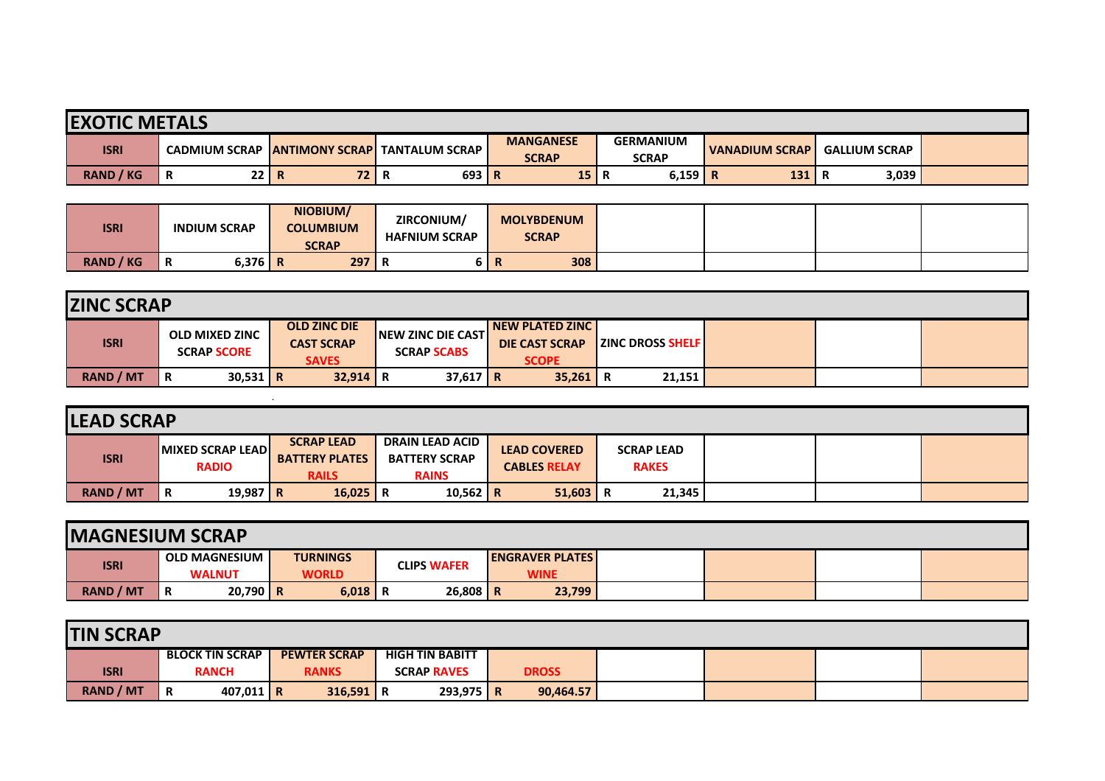| <b>EXOTIC METALS</b> |                      |                         |                         |                                  |                                  |                       |                      |  |  |  |
|----------------------|----------------------|-------------------------|-------------------------|----------------------------------|----------------------------------|-----------------------|----------------------|--|--|--|
| <b>ISRI</b>          | <b>CADMIUM SCRAP</b> | <b>IANTIMONY SCRAPI</b> | <b>TANTALUM SCRAP I</b> | <b>MANGANESE</b><br><b>SCRAP</b> | <b>GERMANIUM</b><br><b>SCRAP</b> | <b>VANADIUM SCRAP</b> | <b>GALLIUM SCRAP</b> |  |  |  |
| <b>RAND / KG</b>     | 22 R<br>Ð<br>R       | 72 I                    | 693 R<br>ĸ              | 15                               | 6,159                            | 131<br>R              | 3,039                |  |  |  |

| <b>ISRI</b>      | <b>INDIUM SCRAP</b> | NIOBIUM/<br><b>COLUMBIUM</b><br><b>SCRAP</b> | ZIRCONIUM/<br><b>HAFNIUM SCRAP</b> | <b>MOLYBDENUM</b><br><b>SCRAP</b> |  |
|------------------|---------------------|----------------------------------------------|------------------------------------|-----------------------------------|--|
| <b>RAND / KG</b> | $6,376$ R<br>n      | 297                                          |                                    | 308                               |  |

| <b>ZINC SCRAP</b> |                                             |                                                          |                                                  |                                                                    |                          |  |  |  |  |  |
|-------------------|---------------------------------------------|----------------------------------------------------------|--------------------------------------------------|--------------------------------------------------------------------|--------------------------|--|--|--|--|--|
| <b>ISRI</b>       | <b>OLD MIXED ZINC</b><br><b>SCRAP SCORE</b> | <b>OLD ZINC DIE</b><br><b>CAST SCRAP</b><br><b>SAVES</b> | <b>INEW ZINC DIE CASTI</b><br><b>SCRAP SCABS</b> | <b>INEW PLATED ZINC I</b><br><b>DIE CAST SCRAP</b><br><b>SCOPE</b> | <b>EZINC DROSS SHELF</b> |  |  |  |  |  |
| <b>RAND / MT</b>  | $30,531$ R<br>R                             | $32,914$ R                                               | $37,617$ R                                       | 35,261                                                             | 21,151                   |  |  |  |  |  |

| <b>LEAD SCRAP</b> |                                         |                                                            |                                                                |                                            |                                   |  |  |  |  |  |  |
|-------------------|-----------------------------------------|------------------------------------------------------------|----------------------------------------------------------------|--------------------------------------------|-----------------------------------|--|--|--|--|--|--|
| <b>ISRI</b>       | <b>MIXED SCRAP LEAD</b><br><b>RADIO</b> | <b>SCRAP LEAD</b><br><b>BATTERY PLATES</b><br><b>RAILS</b> | <b>DRAIN LEAD ACID</b><br><b>BATTERY SCRAP</b><br><b>RAINS</b> | <b>LEAD COVERED</b><br><b>CABLES RELAY</b> | <b>SCRAP LEAD</b><br><b>RAKES</b> |  |  |  |  |  |  |
| <b>RAND / MT</b>  | 19,987 R<br>R                           | $16,025$ R                                                 | 10,562   R                                                     | $51,603$ R                                 | 21,345                            |  |  |  |  |  |  |

| <b>IMAGNESIUM SCRAP</b> |                                       |                                 |                    |                                        |  |  |  |  |  |  |  |
|-------------------------|---------------------------------------|---------------------------------|--------------------|----------------------------------------|--|--|--|--|--|--|--|
| <b>ISRI</b>             | <b>OLD MAGNESIUM</b><br><b>WALNUT</b> | <b>TURNINGS</b><br><b>WORLD</b> | <b>CLIPS WAFER</b> | <b>LENGRAVER PLATES</b><br><b>WINE</b> |  |  |  |  |  |  |  |
|                         |                                       |                                 |                    |                                        |  |  |  |  |  |  |  |
| <b>RAND / MT</b>        | $20,790$ R<br>Ð<br>R                  | $6,018$   R                     | $26,808$ R         | 23,799                                 |  |  |  |  |  |  |  |

| <b>TIN SCRAP</b> |                  |                              |           |  |                     |  |                        |              |           |  |  |  |
|------------------|------------------|------------------------------|-----------|--|---------------------|--|------------------------|--------------|-----------|--|--|--|
|                  |                  | <b>BLOCK TIN SCRAP</b>       |           |  | <b>PEWTER SCRAP</b> |  | <b>HIGH TIN BABITT</b> |              |           |  |  |  |
|                  | <b>ISRI</b>      | <b>RANKS</b><br><b>RANCH</b> |           |  | <b>SCRAP RAVES</b>  |  |                        | <b>DROSS</b> |           |  |  |  |
|                  | <b>RAND / MT</b> | R                            | 407,011 R |  | $316,591$ R         |  | $293,975$ R            |              | 90,464.57 |  |  |  |